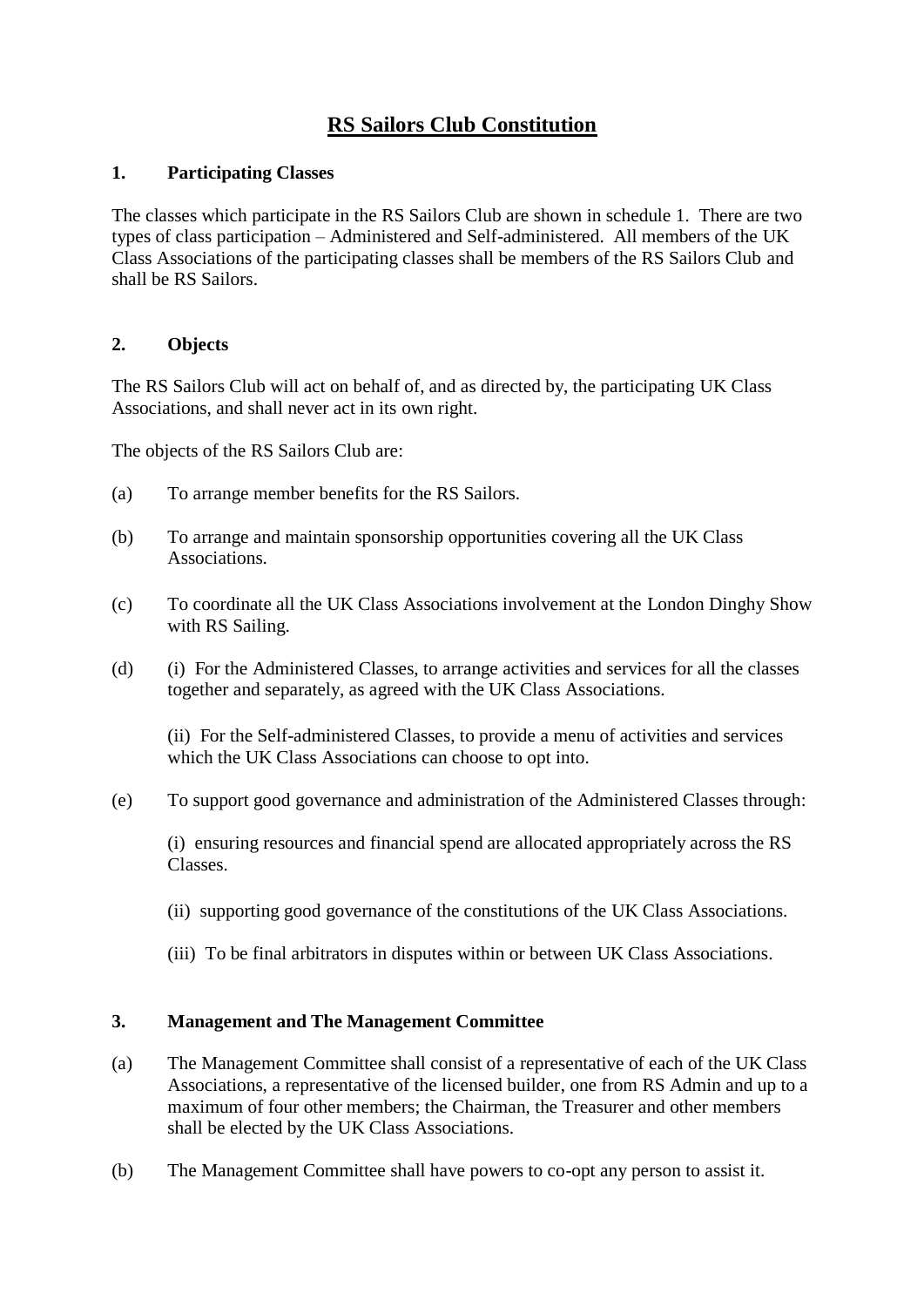# **RS Sailors Club Constitution**

#### **1. Participating Classes**

The classes which participate in the RS Sailors Club are shown in schedule 1. There are two types of class participation – Administered and Self-administered. All members of the UK Class Associations of the participating classes shall be members of the RS Sailors Club and shall be RS Sailors.

## **2. Objects**

The RS Sailors Club will act on behalf of, and as directed by, the participating UK Class Associations, and shall never act in its own right.

The objects of the RS Sailors Club are:

- (a) To arrange member benefits for the RS Sailors.
- (b) To arrange and maintain sponsorship opportunities covering all the UK Class Associations.
- (c) To coordinate all the UK Class Associations involvement at the London Dinghy Show with RS Sailing.
- (d) (i) For the Administered Classes, to arrange activities and services for all the classes together and separately, as agreed with the UK Class Associations.

(ii) For the Self-administered Classes, to provide a menu of activities and services which the UK Class Associations can choose to opt into.

(e) To support good governance and administration of the Administered Classes through:

(i) ensuring resources and financial spend are allocated appropriately across the RS Classes.

- (ii) supporting good governance of the constitutions of the UK Class Associations.
- (iii) To be final arbitrators in disputes within or between UK Class Associations.

## **3. Management and The Management Committee**

- (a) The Management Committee shall consist of a representative of each of the UK Class Associations, a representative of the licensed builder, one from RS Admin and up to a maximum of four other members; the Chairman, the Treasurer and other members shall be elected by the UK Class Associations.
- (b) The Management Committee shall have powers to co-opt any person to assist it.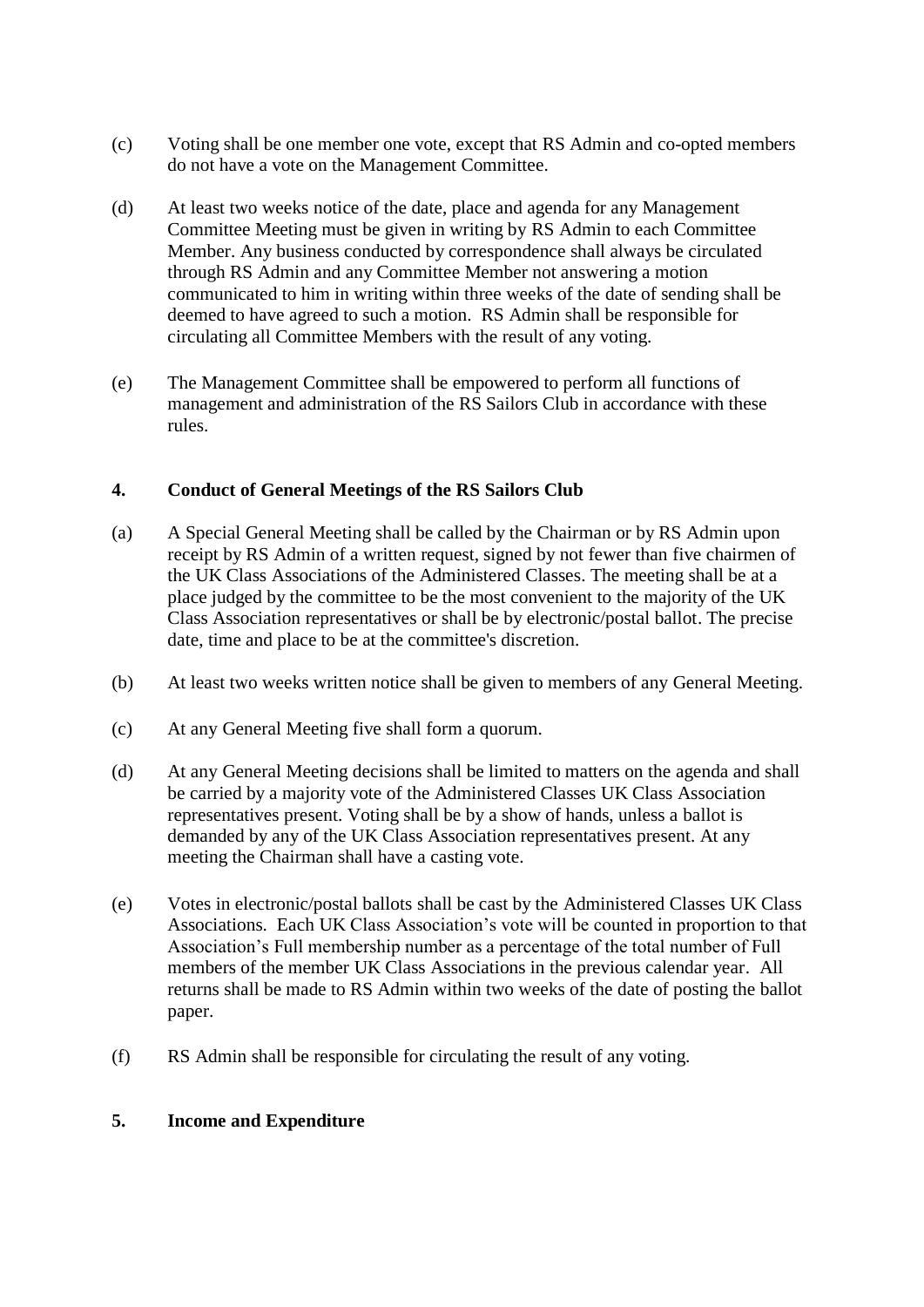- (c) Voting shall be one member one vote, except that RS Admin and co-opted members do not have a vote on the Management Committee.
- (d) At least two weeks notice of the date, place and agenda for any Management Committee Meeting must be given in writing by RS Admin to each Committee Member. Any business conducted by correspondence shall always be circulated through RS Admin and any Committee Member not answering a motion communicated to him in writing within three weeks of the date of sending shall be deemed to have agreed to such a motion. RS Admin shall be responsible for circulating all Committee Members with the result of any voting.
- (e) The Management Committee shall be empowered to perform all functions of management and administration of the RS Sailors Club in accordance with these rules.

## **4. Conduct of General Meetings of the RS Sailors Club**

- (a) A Special General Meeting shall be called by the Chairman or by RS Admin upon receipt by RS Admin of a written request, signed by not fewer than five chairmen of the UK Class Associations of the Administered Classes. The meeting shall be at a place judged by the committee to be the most convenient to the majority of the UK Class Association representatives or shall be by electronic/postal ballot. The precise date, time and place to be at the committee's discretion.
- (b) At least two weeks written notice shall be given to members of any General Meeting.
- (c) At any General Meeting five shall form a quorum.
- (d) At any General Meeting decisions shall be limited to matters on the agenda and shall be carried by a majority vote of the Administered Classes UK Class Association representatives present. Voting shall be by a show of hands, unless a ballot is demanded by any of the UK Class Association representatives present. At any meeting the Chairman shall have a casting vote.
- (e) Votes in electronic/postal ballots shall be cast by the Administered Classes UK Class Associations. Each UK Class Association's vote will be counted in proportion to that Association's Full membership number as a percentage of the total number of Full members of the member UK Class Associations in the previous calendar year. All returns shall be made to RS Admin within two weeks of the date of posting the ballot paper.
- (f) RS Admin shall be responsible for circulating the result of any voting.

#### **5. Income and Expenditure**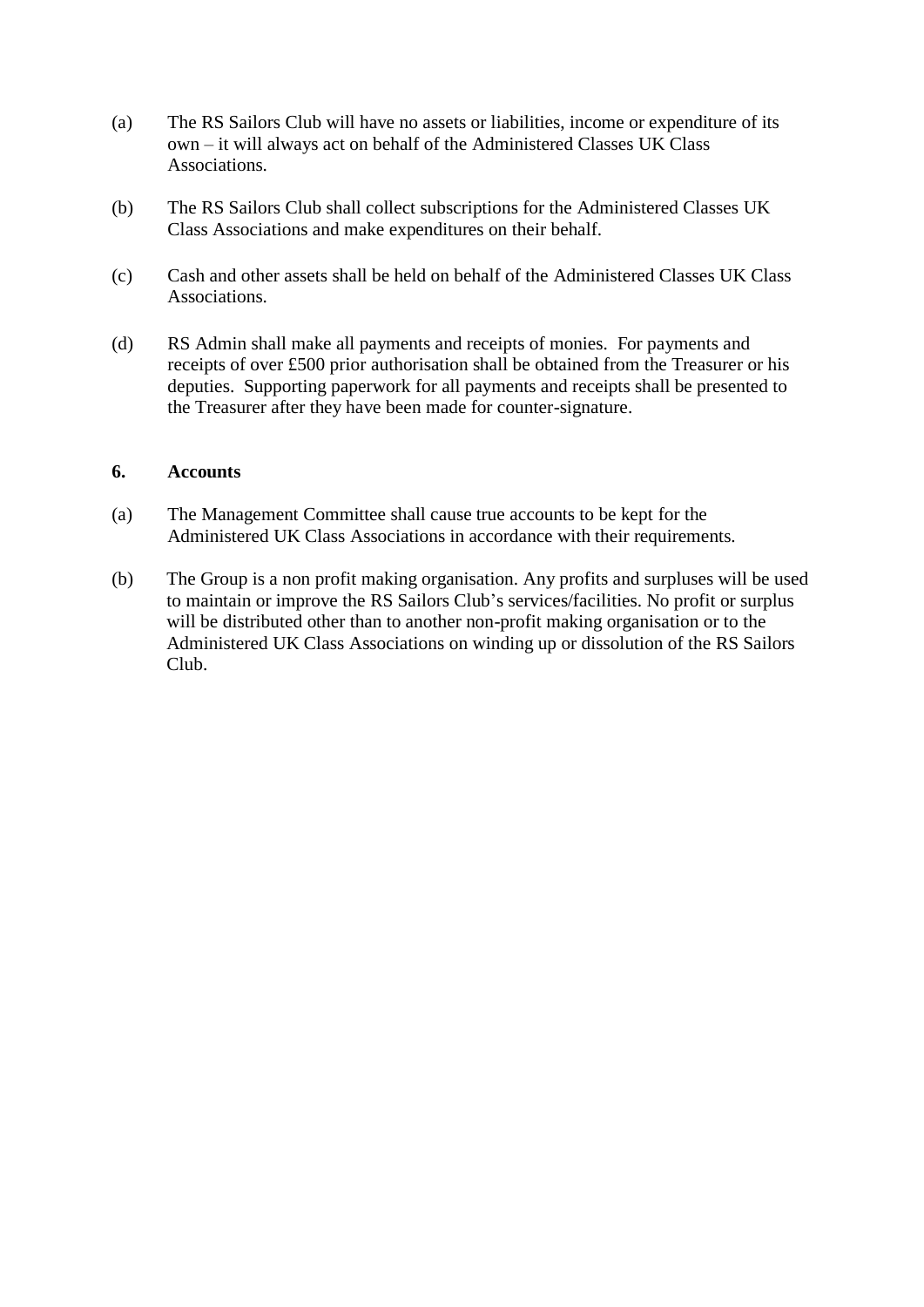- (a) The RS Sailors Club will have no assets or liabilities, income or expenditure of its own – it will always act on behalf of the Administered Classes UK Class Associations.
- (b) The RS Sailors Club shall collect subscriptions for the Administered Classes UK Class Associations and make expenditures on their behalf.
- (c) Cash and other assets shall be held on behalf of the Administered Classes UK Class Associations.
- (d) RS Admin shall make all payments and receipts of monies. For payments and receipts of over £500 prior authorisation shall be obtained from the Treasurer or his deputies. Supporting paperwork for all payments and receipts shall be presented to the Treasurer after they have been made for counter-signature.

#### **6. Accounts**

- (a) The Management Committee shall cause true accounts to be kept for the Administered UK Class Associations in accordance with their requirements.
- (b) The Group is a non profit making organisation. Any profits and surpluses will be used to maintain or improve the RS Sailors Club's services/facilities. No profit or surplus will be distributed other than to another non-profit making organisation or to the Administered UK Class Associations on winding up or dissolution of the RS Sailors Club.